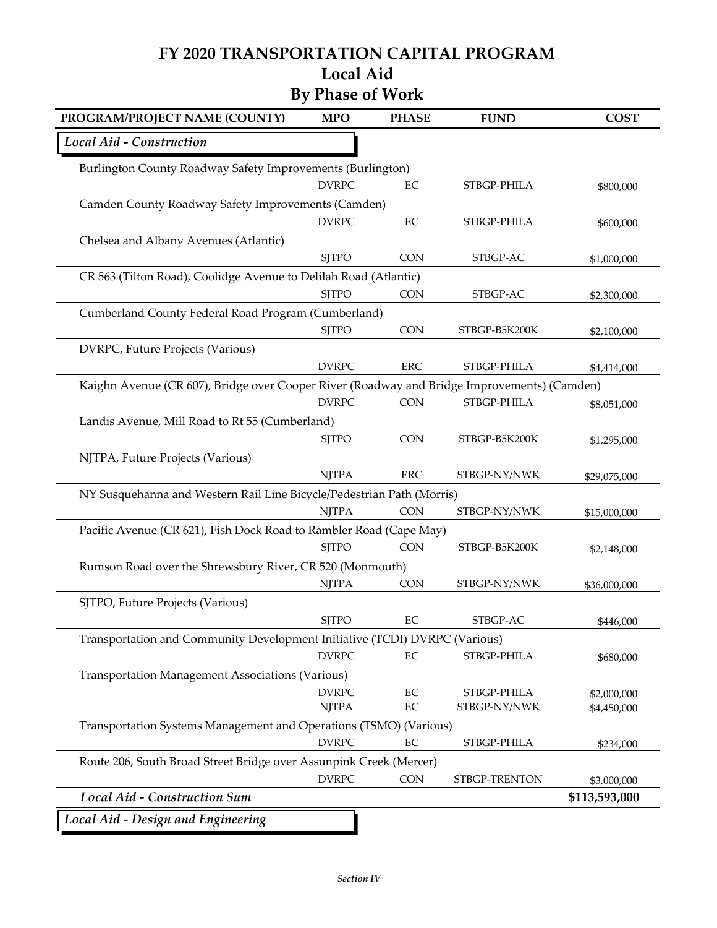## **FY 2020 TRANSPORTATION CAPITAL PROGRAM Local Aid**

| <b>By Phase of Work</b> |  |
|-------------------------|--|
|-------------------------|--|

| PROGRAM/PROJECT NAME (COUNTY)                                                               | <b>MPO</b>                   | <b>PHASE</b>   | <b>FUND</b>                 | <b>COST</b>                |
|---------------------------------------------------------------------------------------------|------------------------------|----------------|-----------------------------|----------------------------|
| Local Aid - Construction                                                                    |                              |                |                             |                            |
| Burlington County Roadway Safety Improvements (Burlington)                                  |                              |                |                             |                            |
|                                                                                             | <b>DVRPC</b>                 | EC             | STBGP-PHILA                 | \$800,000                  |
| Camden County Roadway Safety Improvements (Camden)                                          |                              |                |                             |                            |
|                                                                                             | <b>DVRPC</b>                 | EC             | STBGP-PHILA                 | \$600,000                  |
| Chelsea and Albany Avenues (Atlantic)                                                       |                              |                |                             |                            |
|                                                                                             | <b>SJTPO</b>                 | <b>CON</b>     | STBGP-AC                    | \$1,000,000                |
| CR 563 (Tilton Road), Coolidge Avenue to Delilah Road (Atlantic)                            |                              |                |                             |                            |
|                                                                                             | <b>SJTPO</b>                 | <b>CON</b>     | STBGP-AC                    | \$2,300,000                |
| Cumberland County Federal Road Program (Cumberland)                                         |                              |                |                             |                            |
|                                                                                             | <b>SJTPO</b>                 | <b>CON</b>     | STBGP-B5K200K               | \$2,100,000                |
| DVRPC, Future Projects (Various)                                                            |                              |                |                             |                            |
|                                                                                             | <b>DVRPC</b>                 | <b>ERC</b>     | STBGP-PHILA                 | \$4,414,000                |
| Kaighn Avenue (CR 607), Bridge over Cooper River (Roadway and Bridge Improvements) (Camden) |                              |                |                             |                            |
|                                                                                             | <b>DVRPC</b>                 | <b>CON</b>     | STBGP-PHILA                 | \$8,051,000                |
| Landis Avenue, Mill Road to Rt 55 (Cumberland)                                              |                              |                |                             |                            |
|                                                                                             | <b>SJTPO</b>                 | <b>CON</b>     | STBGP-B5K200K               | \$1,295,000                |
| NJTPA, Future Projects (Various)                                                            |                              |                |                             |                            |
|                                                                                             | <b>NJTPA</b>                 | <b>ERC</b>     | STBGP-NY/NWK                | \$29,075,000               |
| NY Susquehanna and Western Rail Line Bicycle/Pedestrian Path (Morris)                       |                              |                |                             |                            |
|                                                                                             | <b>NJTPA</b>                 | <b>CON</b>     | STBGP-NY/NWK                | \$15,000,000               |
| Pacific Avenue (CR 621), Fish Dock Road to Rambler Road (Cape May)                          |                              |                |                             |                            |
|                                                                                             | <b>SJTPO</b>                 | <b>CON</b>     | STBGP-B5K200K               | \$2,148,000                |
| Rumson Road over the Shrewsbury River, CR 520 (Monmouth)                                    |                              |                |                             |                            |
|                                                                                             | <b>NJTPA</b>                 | <b>CON</b>     | STBGP-NY/NWK                | \$36,000,000               |
| SJTPO, Future Projects (Various)                                                            |                              |                |                             |                            |
|                                                                                             | <b>SJTPO</b>                 | EC             | STBGP-AC                    |                            |
|                                                                                             |                              |                |                             | \$446,000                  |
| Transportation and Community Development Initiative (TCDI) DVRPC (Various)                  | <b>DVRPC</b>                 | EC             | STBGP-PHILA                 |                            |
|                                                                                             |                              |                |                             | \$680,000                  |
| <b>Transportation Management Associations (Various)</b>                                     |                              |                |                             |                            |
|                                                                                             | <b>DVRPC</b><br><b>NJTPA</b> | EC<br>$\rm EC$ | STBGP-PHILA<br>STBGP-NY/NWK | \$2,000,000<br>\$4,450,000 |
|                                                                                             |                              |                |                             |                            |
| Transportation Systems Management and Operations (TSMO) (Various)                           | <b>DVRPC</b>                 | $\rm EC$       | STBGP-PHILA                 |                            |
|                                                                                             |                              |                |                             | \$234,000                  |
| Route 206, South Broad Street Bridge over Assunpink Creek (Mercer)                          | <b>DVRPC</b>                 | <b>CON</b>     |                             |                            |
| <b>Local Aid - Construction Sum</b>                                                         |                              |                | STBGP-TRENTON               | \$3,000,000                |
| <b>Local Aid - Design and Engineering</b>                                                   |                              |                |                             | \$113,593,000              |